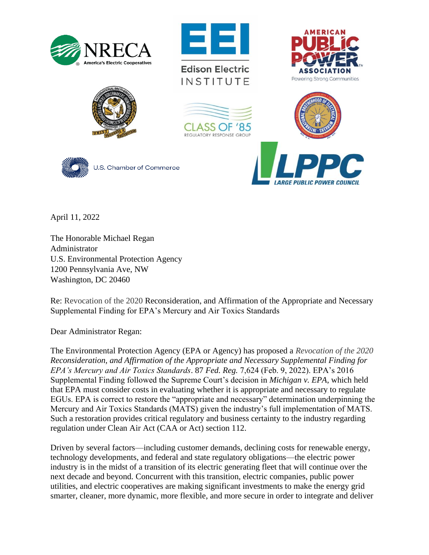





**Edison Electric** INSTITUTE









U.S. Chamber of Commerce

**E PUBLIC POWER COUNCIL** 

April 11, 2022

The Honorable Michael Regan Administrator U.S. Environmental Protection Agency 1200 Pennsylvania Ave, NW Washington, DC 20460

Re: Revocation of the 2020 Reconsideration, and Affirmation of the Appropriate and Necessary Supplemental Finding for EPA's Mercury and Air Toxics Standards

Dear Administrator Regan:

The Environmental Protection Agency (EPA or Agency) has proposed a *Revocation of the 2020 Reconsideration, and Affirmation of the Appropriate and Necessary Supplemental Finding for EPA's Mercury and Air Toxics Standards*. 87 *Fed. Reg.* 7,624 (Feb. 9, 2022). EPA's 2016 Supplemental Finding followed the Supreme Court's decision in *Michigan v. EPA*, which held that EPA must consider costs in evaluating whether it is appropriate and necessary to regulate EGUs. EPA is correct to restore the "appropriate and necessary" determination underpinning the Mercury and Air Toxics Standards (MATS) given the industry's full implementation of MATS. Such a restoration provides critical regulatory and business certainty to the industry regarding regulation under Clean Air Act (CAA or Act) section 112.

Driven by several factors—including customer demands, declining costs for renewable energy, technology developments, and federal and state regulatory obligations—the electric power industry is in the midst of a transition of its electric generating fleet that will continue over the next decade and beyond. Concurrent with this transition, electric companies, public power utilities, and electric cooperatives are making significant investments to make the energy grid smarter, cleaner, more dynamic, more flexible, and more secure in order to integrate and deliver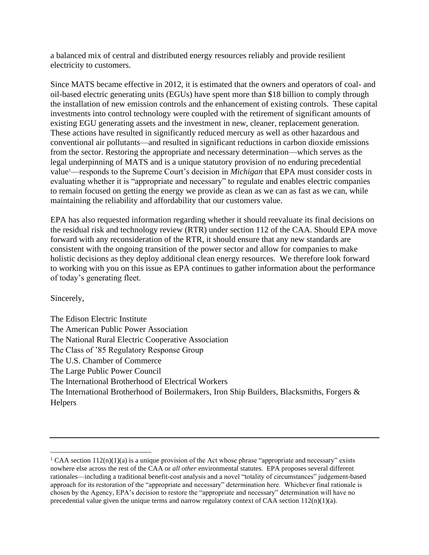a balanced mix of central and distributed energy resources reliably and provide resilient electricity to customers.

Since MATS became effective in 2012, it is estimated that the owners and operators of coal- and oil-based electric generating units (EGUs) have spent more than \$18 billion to comply through the installation of new emission controls and the enhancement of existing controls. These capital investments into control technology were coupled with the retirement of significant amounts of existing EGU generating assets and the investment in new, cleaner, replacement generation. These actions have resulted in significantly reduced mercury as well as other hazardous and conventional air pollutants—and resulted in significant reductions in carbon dioxide emissions from the sector. Restoring the appropriate and necessary determination—which serves as the legal underpinning of MATS and is a unique statutory provision of no enduring precedential value1—responds to the Supreme Court's decision in *Michigan* that EPA must consider costs in evaluating whether it is "appropriate and necessary" to regulate and enables electric companies to remain focused on getting the energy we provide as clean as we can as fast as we can, while maintaining the reliability and affordability that our customers value.

EPA has also requested information regarding whether it should reevaluate its final decisions on the residual risk and technology review (RTR) under section 112 of the CAA. Should EPA move forward with any reconsideration of the RTR, it should ensure that any new standards are consistent with the ongoing transition of the power sector and allow for companies to make holistic decisions as they deploy additional clean energy resources. We therefore look forward to working with you on this issue as EPA continues to gather information about the performance of today's generating fleet.

Sincerely,

The Edison Electric Institute The American Public Power Association The National Rural Electric Cooperative Association The Class of '85 Regulatory Response Group The U.S. Chamber of Commerce The Large Public Power Council The International Brotherhood of Electrical Workers The International Brotherhood of Boilermakers, Iron Ship Builders, Blacksmiths, Forgers & **Helpers** 

<sup>&</sup>lt;sup>1</sup> CAA section  $112(n)(1)(a)$  is a unique provision of the Act whose phrase "appropriate and necessary" exists nowhere else across the rest of the CAA or *all other* environmental statutes. EPA proposes several different rationales—including a traditional benefit-cost analysis and a novel "totality of circumstances" judgement-based approach for its restoration of the "appropriate and necessary" determination here. Whichever final rationale is chosen by the Agency, EPA's decision to restore the "appropriate and necessary" determination will have no precedential value given the unique terms and narrow regulatory context of CAA section  $112(n)(1)(a)$ .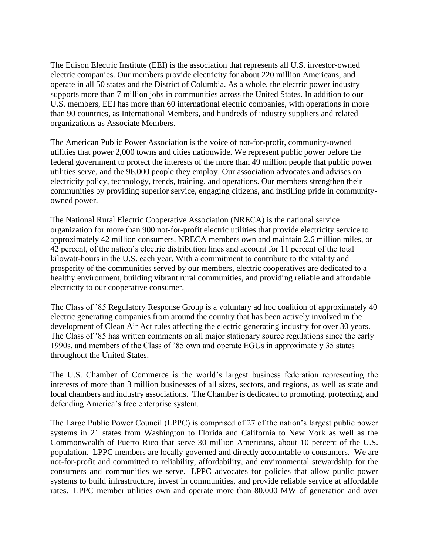The Edison Electric Institute (EEI) is the association that represents all U.S. investor-owned electric companies. Our members provide electricity for about 220 million Americans, and operate in all 50 states and the District of Columbia. As a whole, the electric power industry supports more than 7 million jobs in communities across the United States. In addition to our U.S. members, EEI has more than 60 international electric companies, with operations in more than 90 countries, as International Members, and hundreds of industry suppliers and related organizations as Associate Members.

The American Public Power Association is the voice of not-for-profit, community-owned utilities that power 2,000 towns and cities nationwide. We represent public power before the federal government to protect the interests of the more than 49 million people that public power utilities serve, and the 96,000 people they employ. Our association advocates and advises on electricity policy, technology, trends, training, and operations. Our members strengthen their communities by providing superior service, engaging citizens, and instilling pride in communityowned power.

The National Rural Electric Cooperative Association (NRECA) is the national service organization for more than 900 not-for-profit electric utilities that provide electricity service to approximately 42 million consumers. NRECA members own and maintain 2.6 million miles, or 42 percent, of the nation's electric distribution lines and account for 11 percent of the total kilowatt-hours in the U.S. each year. With a commitment to contribute to the vitality and prosperity of the communities served by our members, electric cooperatives are dedicated to a healthy environment, building vibrant rural communities, and providing reliable and affordable electricity to our cooperative consumer.

The Class of '85 Regulatory Response Group is a voluntary ad hoc coalition of approximately 40 electric generating companies from around the country that has been actively involved in the development of Clean Air Act rules affecting the electric generating industry for over 30 years. The Class of '85 has written comments on all major stationary source regulations since the early 1990s, and members of the Class of '85 own and operate EGUs in approximately 35 states throughout the United States.

The U.S. Chamber of Commerce is the world's largest business federation representing the interests of more than 3 million businesses of all sizes, sectors, and regions, as well as state and local chambers and industry associations. The Chamber is dedicated to promoting, protecting, and defending America's free enterprise system.

The Large Public Power Council (LPPC) is comprised of 27 of the nation's largest public power systems in 21 states from Washington to Florida and California to New York as well as the Commonwealth of Puerto Rico that serve 30 million Americans, about 10 percent of the U.S. population. LPPC members are locally governed and directly accountable to consumers. We are not-for-profit and committed to reliability, affordability, and environmental stewardship for the consumers and communities we serve. LPPC advocates for policies that allow public power systems to build infrastructure, invest in communities, and provide reliable service at affordable rates. LPPC member utilities own and operate more than 80,000 MW of generation and over